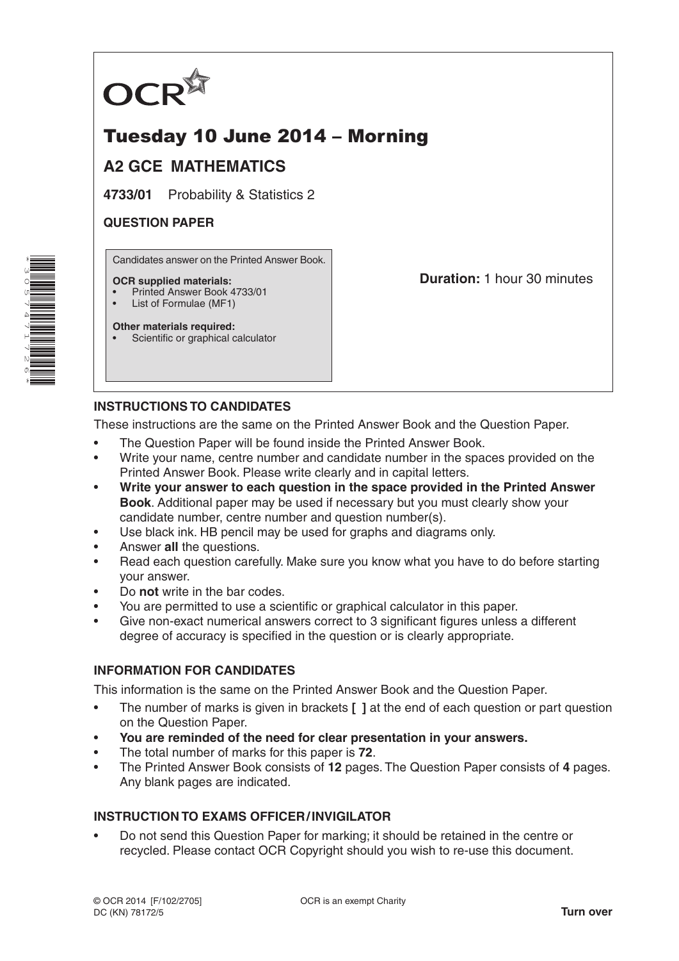

# Tuesday 10 June 2014 – Morning

## **A2 GCE MATHEMATICS**

**4733/01** Probability & Statistics 2

### **QUESTION PAPER**

Candidates answer on the Printed Answer Book.

#### **OCR supplied materials:**

- Printed Answer Book 4733/01
- List of Formulae (MF1)

**Other materials required:** Scientific or graphical calculator **Duration:** 1 hour 30 minutes

## **INSTRUCTIONS TO CANDIDATES**

These instructions are the same on the Printed Answer Book and the Question Paper.

- The Question Paper will be found inside the Printed Answer Book.
- Write your name, centre number and candidate number in the spaces provided on the Printed Answer Book. Please write clearly and in capital letters.
- **Write your answer to each question in the space provided in the Printed Answer Book**. Additional paper may be used if necessary but you must clearly show your candidate number, centre number and question number(s).
- Use black ink. HB pencil may be used for graphs and diagrams only.
- Answer **all** the questions.
- Read each question carefully. Make sure you know what you have to do before starting your answer.
- Do **not** write in the bar codes.
- You are permitted to use a scientific or graphical calculator in this paper.
- Give non-exact numerical answers correct to 3 significant figures unless a different degree of accuracy is specified in the question or is clearly appropriate.

## **INFORMATION FOR CANDIDATES**

This information is the same on the Printed Answer Book and the Question Paper.

- The number of marks is given in brackets **[ ]** at the end of each question or part question on the Question Paper.
- **You are reminded of the need for clear presentation in your answers.**
- The total number of marks for this paper is **72**.
- The Printed Answer Book consists of **12** pages. The Question Paper consists of **4** pages. Any blank pages are indicated.

## **INSTRUCTION TO EXAMS OFFICER/INVIGILATOR**

• Do not send this Question Paper for marking; it should be retained in the centre or recycled. Please contact OCR Copyright should you wish to re-use this document.

\*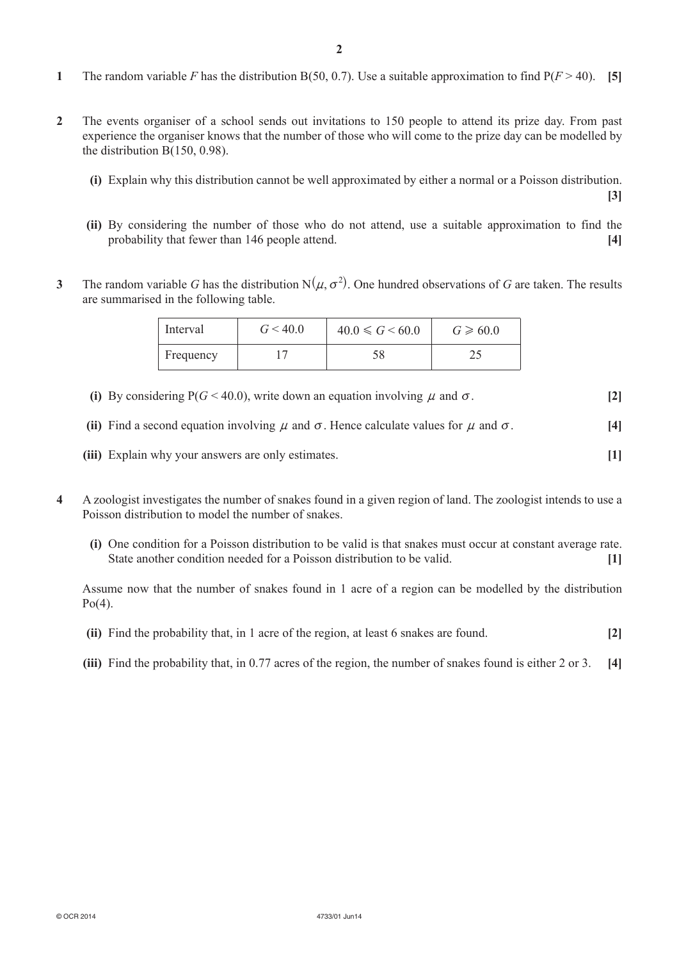- **1** The random variable *F* has the distribution B(50, 0.7). Use a suitable approximation to find  $P(F > 40)$ . **[5]**
- **2**  The events organiser of a school sends out invitations to 150 people to attend its prize day. From past experience the organiser knows that the number of those who will come to the prize day can be modelled by the distribution B(150, 0.98).
	- **(i)** Explain why this distribution cannot be well approximated by either a normal or a Poisson distribution. **[3]**
	- **(ii)** By considering the number of those who do not attend, use a suitable approximation to find the probability that fewer than 146 people attend. **[4]**
- **3** The random variable *G* has the distribution  $N(\mu, \sigma^2)$ . One hundred observations of *G* are taken. The results are summarised in the following table.

| Interval  | G < 40.0 | $40.0 \le G \le 60.0$ | $G \ge 60.0$ |
|-----------|----------|-----------------------|--------------|
| Frequency |          |                       |              |

- **(i)** By considering  $P(G \le 40.0)$ , write down an equation involving *u* and  $\sigma$ . [2]
- **(ii)** Find a second equation involving  $\mu$  and  $\sigma$ . Hence calculate values for  $\mu$  and  $\sigma$ . [4]
- **(iii)** Explain why your answers are only estimates. **[1]**
- **4**  A zoologist investigates the number of snakes found in a given region of land. The zoologist intends to use a Poisson distribution to model the number of snakes.
	- **(i)** One condition for a Poisson distribution to be valid is that snakes must occur at constant average rate. State another condition needed for a Poisson distribution to be valid. **[1]**

Assume now that the number of snakes found in 1 acre of a region can be modelled by the distribution  $Po(4)$ .

- **(ii)** Find the probability that, in 1 acre of the region, at least 6 snakes are found. **[2]**
- **(iii)** Find the probability that, in 0.77 acres of the region, the number of snakes found is either 2 or 3. [4]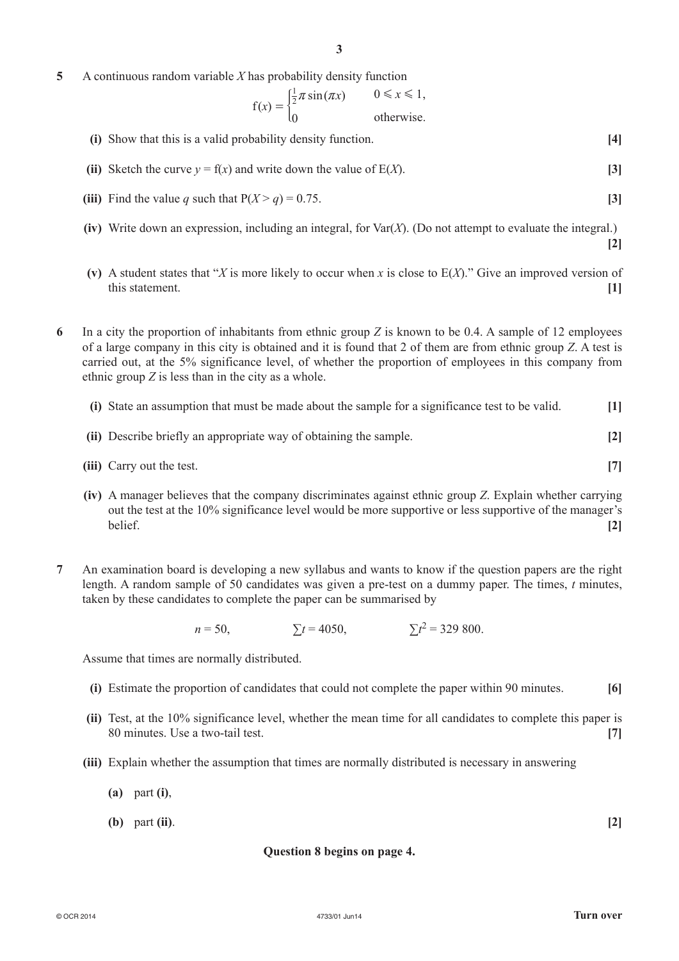**5**  A continuous random variable *X* has probability density function

$$
f(x) = \begin{cases} \frac{1}{2}\pi \sin(\pi x) & 0 \le x \le 1, \\ 0 & \text{otherwise.} \end{cases}
$$

- **(i)** Show that this is a valid probability density function. **[4]**
- **(ii)** Sketch the curve  $y = f(x)$  and write down the value of  $E(X)$ . [3]
- **(iii)** Find the value *q* such that  $P(X > q) = 0.75$ . [3]
- $\bf (iv)$  Write down an expression, including an integral, for Var $(X)$ . (Do not attempt to evaluate the integral.)
- **(v)** A student states that "*X* is more likely to occur when *x* is close to  $E(X)$ ." Give an improved version of this statement. **[1]**

**6**  In a city the proportion of inhabitants from ethnic group *Z* is known to be 0.4. A sample of 12 employees of a large company in this city is obtained and it is found that 2 of them are from ethnic group *Z*. A test is carried out, at the 5% significance level, of whether the proportion of employees in this company from ethnic group *Z* is less than in the city as a whole.

| (i) State an assumption that must be made about the sample for a significance test to be valid. | [1]               |
|-------------------------------------------------------------------------------------------------|-------------------|
| (ii) Describe briefly an appropriate way of obtaining the sample.                               | $\lceil 2 \rceil$ |

- *(iii)* Carry out the test. **[7]**
- **(iv)**  A manager believes that the company discriminates against ethnic group *Z*. Explain whether carrying out the test at the 10% significance level would be more supportive or less supportive of the manager's belief. **[2]**
- **7**  An examination board is developing a new syllabus and wants to know if the question papers are the right length. A random sample of 50 candidates was given a pre-test on a dummy paper. The times, *t* minutes, taken by these candidates to complete the paper can be summarised by

 $n = 50$ ,  $\Sigma t = 4050$ ,  $\Sigma t^2 = 329800$ .

Assume that times are normally distributed.

- **(i)** Estimate the proportion of candidates that could not complete the paper within 90 minutes. **[6]**
- **(ii)** Test, at the 10% significance level, whether the mean time for all candidates to complete this paper is 80 minutes. Use a two-tail test. **[7]**
- **(iii)** Explain whether the assumption that times are normally distributed is necessary in answering
	- **(a)** part **(i)**,
	- **(b)** part **(ii)**. **[2]**

#### **Question 8 begins on page 4.**

**[2]**